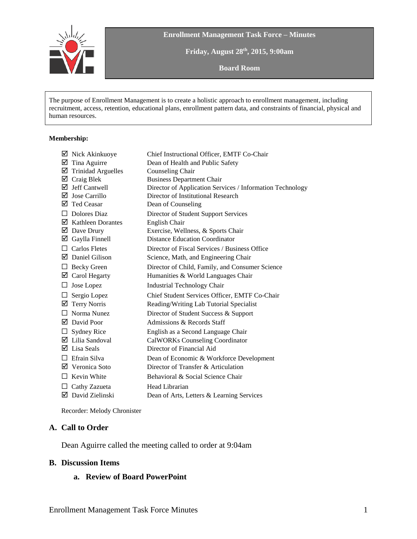

**Enrollment Management Task Force – Minutes**

**Friday, August 28th , 2015, 9:00am**

**Board Room**

The purpose of Enrollment Management is to create a holistic approach to enrollment management, including recruitment, access, retention, educational plans, enrollment pattern data, and constraints of financial, physical and human resources.

#### **Membership:**

|                           | Chief Instructional Officer, EMTF Co-Chair                                                                                                                                                                                                                                                                                                                                                                                                                                                                                                                |
|---------------------------|-----------------------------------------------------------------------------------------------------------------------------------------------------------------------------------------------------------------------------------------------------------------------------------------------------------------------------------------------------------------------------------------------------------------------------------------------------------------------------------------------------------------------------------------------------------|
|                           | Dean of Health and Public Safety                                                                                                                                                                                                                                                                                                                                                                                                                                                                                                                          |
| <b>Trinidad Arguelles</b> | Counseling Chair                                                                                                                                                                                                                                                                                                                                                                                                                                                                                                                                          |
|                           | <b>Business Department Chair</b>                                                                                                                                                                                                                                                                                                                                                                                                                                                                                                                          |
|                           | Director of Application Services / Information Technology                                                                                                                                                                                                                                                                                                                                                                                                                                                                                                 |
|                           | Director of Institutional Research                                                                                                                                                                                                                                                                                                                                                                                                                                                                                                                        |
|                           | Dean of Counseling                                                                                                                                                                                                                                                                                                                                                                                                                                                                                                                                        |
| Dolores Diaz              | Director of Student Support Services                                                                                                                                                                                                                                                                                                                                                                                                                                                                                                                      |
|                           | English Chair                                                                                                                                                                                                                                                                                                                                                                                                                                                                                                                                             |
|                           | Exercise, Wellness, & Sports Chair                                                                                                                                                                                                                                                                                                                                                                                                                                                                                                                        |
|                           | Distance Education Coordinator                                                                                                                                                                                                                                                                                                                                                                                                                                                                                                                            |
| Carlos Fletes             | Director of Fiscal Services / Business Office                                                                                                                                                                                                                                                                                                                                                                                                                                                                                                             |
|                           | Science, Math, and Engineering Chair                                                                                                                                                                                                                                                                                                                                                                                                                                                                                                                      |
|                           | Director of Child, Family, and Consumer Science                                                                                                                                                                                                                                                                                                                                                                                                                                                                                                           |
|                           | Humanities & World Languages Chair                                                                                                                                                                                                                                                                                                                                                                                                                                                                                                                        |
|                           | Industrial Technology Chair                                                                                                                                                                                                                                                                                                                                                                                                                                                                                                                               |
| Sergio Lopez              | Chief Student Services Officer, EMTF Co-Chair                                                                                                                                                                                                                                                                                                                                                                                                                                                                                                             |
|                           | Reading/Writing Lab Tutorial Specialist                                                                                                                                                                                                                                                                                                                                                                                                                                                                                                                   |
| Norma Nunez               | Director of Student Success & Support                                                                                                                                                                                                                                                                                                                                                                                                                                                                                                                     |
|                           | Admissions & Records Staff                                                                                                                                                                                                                                                                                                                                                                                                                                                                                                                                |
| <b>Sydney Rice</b>        | English as a Second Language Chair                                                                                                                                                                                                                                                                                                                                                                                                                                                                                                                        |
|                           | <b>CalWORKs Counseling Coordinator</b>                                                                                                                                                                                                                                                                                                                                                                                                                                                                                                                    |
|                           | Director of Financial Aid                                                                                                                                                                                                                                                                                                                                                                                                                                                                                                                                 |
|                           | Dean of Economic & Workforce Development                                                                                                                                                                                                                                                                                                                                                                                                                                                                                                                  |
|                           | Director of Transfer & Articulation                                                                                                                                                                                                                                                                                                                                                                                                                                                                                                                       |
| Kevin White               | Behavioral & Social Science Chair                                                                                                                                                                                                                                                                                                                                                                                                                                                                                                                         |
| Cathy Zazueta             | Head Librarian                                                                                                                                                                                                                                                                                                                                                                                                                                                                                                                                            |
|                           | Dean of Arts, Letters & Learning Services                                                                                                                                                                                                                                                                                                                                                                                                                                                                                                                 |
|                           | $\boxtimes$ Nick Akinkuoye<br>$\boxtimes$ Tina Aguirre<br>$\boxtimes$ Craig Blek<br>Jeff Cantwell<br>$\boxtimes$ Jose Carrillo<br>☑ Ted Ceasar<br>$\boxtimes$ Kathleen Dorantes<br>$\boxtimes$ Dave Drury<br>$\boxtimes$ Gaylla Finnell<br>$\Box$<br>$\boxtimes$ Daniel Gilison<br>$\Box$ Becky Green<br>$\boxtimes$ Carol Hegarty<br>$\Box$ Jose Lopez<br><b>Terry Norris</b><br>$\boxtimes$ David Poor<br>⊔.<br>$\boxtimes$ Lilia Sandoval<br>$\boxtimes$ Lisa Seals<br>$\Box$ Efrain Silva<br>$\boxtimes$ Veronica Soto<br>$\boxtimes$ David Zielinski |

Recorder: Melody Chronister

### **A. Call to Order**

Dean Aguirre called the meeting called to order at 9:04am

#### **B. Discussion Items**

### **a. Review of Board PowerPoint**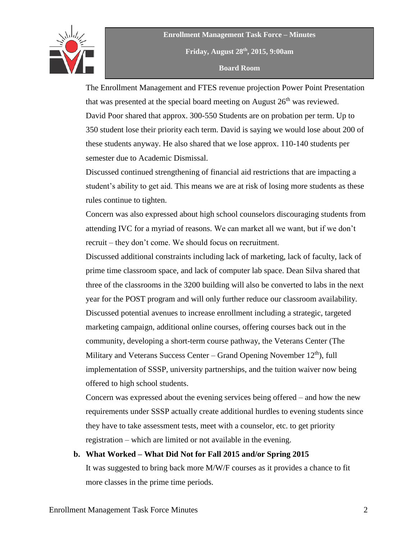

**Enrollment Management Task Force – Minutes Friday, August 28th , 2015, 9:00am Board Room**

The Enrollment Management and FTES revenue projection Power Point Presentation that was presented at the special board meeting on August  $26<sup>th</sup>$  was reviewed. David Poor shared that approx. 300-550 Students are on probation per term. Up to 350 student lose their priority each term. David is saying we would lose about 200 of these students anyway. He also shared that we lose approx. 110-140 students per semester due to Academic Dismissal.

Discussed continued strengthening of financial aid restrictions that are impacting a student's ability to get aid. This means we are at risk of losing more students as these rules continue to tighten.

Concern was also expressed about high school counselors discouraging students from attending IVC for a myriad of reasons. We can market all we want, but if we don't recruit – they don't come. We should focus on recruitment.

Discussed additional constraints including lack of marketing, lack of faculty, lack of prime time classroom space, and lack of computer lab space. Dean Silva shared that three of the classrooms in the 3200 building will also be converted to labs in the next year for the POST program and will only further reduce our classroom availability. Discussed potential avenues to increase enrollment including a strategic, targeted marketing campaign, additional online courses, offering courses back out in the community, developing a short-term course pathway, the Veterans Center (The Military and Veterans Success Center – Grand Opening November  $12<sup>th</sup>$ , full implementation of SSSP, university partnerships, and the tuition waiver now being offered to high school students.

Concern was expressed about the evening services being offered – and how the new requirements under SSSP actually create additional hurdles to evening students since they have to take assessment tests, meet with a counselor, etc. to get priority registration – which are limited or not available in the evening.

### **b. What Worked – What Did Not for Fall 2015 and/or Spring 2015**

It was suggested to bring back more M/W/F courses as it provides a chance to fit more classes in the prime time periods.